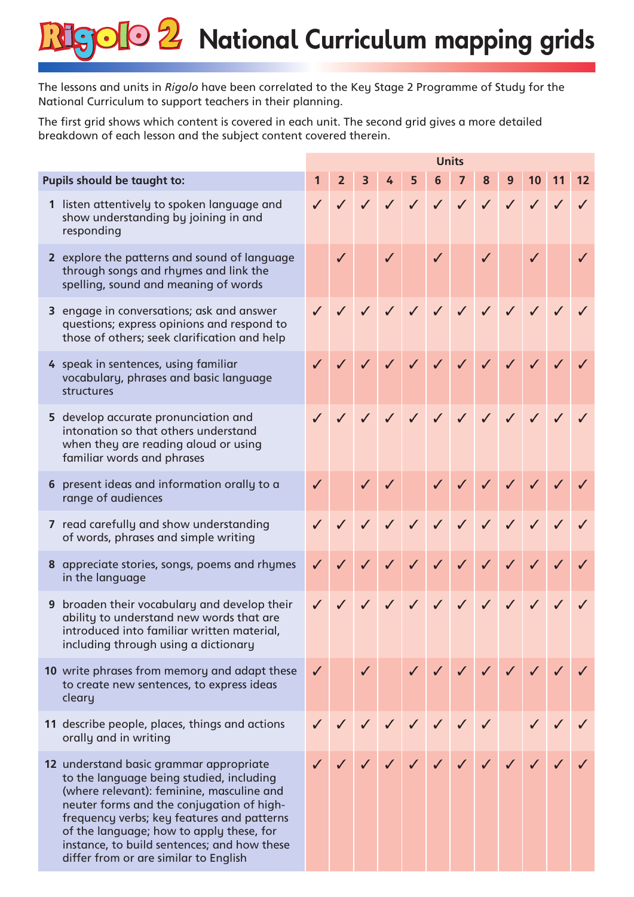## **SOIO 2** National Curriculum mapping grids

The lessons and units in *Rigolo* have been correlated to the Key Stage 2 Programme of Study for the National Curriculum to support teachers in their planning.

The first grid shows which content is covered in each unit. The second grid gives a more detailed breakdown of each lesson and the subject content covered therein.

|                             |                                                                                                                                                                                                                                                                                                                                                                 | <b>Units</b> |                |              |  |           |  |  |  |  |                           |    |
|-----------------------------|-----------------------------------------------------------------------------------------------------------------------------------------------------------------------------------------------------------------------------------------------------------------------------------------------------------------------------------------------------------------|--------------|----------------|--------------|--|-----------|--|--|--|--|---------------------------|----|
| Pupils should be taught to: |                                                                                                                                                                                                                                                                                                                                                                 |              | 2 <sup>1</sup> |              |  | 3 4 5 6 7 |  |  |  |  | 8 9 10 11                 | 12 |
|                             | 1 listen attentively to spoken language and<br>show understanding by joining in and<br>responding                                                                                                                                                                                                                                                               |              |                |              |  |           |  |  |  |  | V V V V V V V V V V       |    |
|                             | 2 explore the patterns and sound of language<br>through songs and rhymes and link the<br>spelling, sound and meaning of words                                                                                                                                                                                                                                   |              |                | $\checkmark$ |  |           |  |  |  |  | $\checkmark$ $\checkmark$ |    |
|                             | 3 engage in conversations; ask and answer<br>questions; express opinions and respond to<br>those of others; seek clarification and help                                                                                                                                                                                                                         |              |                |              |  |           |  |  |  |  | V J J J J J J J           |    |
|                             | 4 speak in sentences, using familiar<br>vocabulary, phrases and basic language<br>structures                                                                                                                                                                                                                                                                    |              |                | $\checkmark$ |  |           |  |  |  |  | 111111111                 |    |
|                             | 5 develop accurate pronunciation and<br>intonation so that others understand<br>when they are reading aloud or using<br>familiar words and phrases                                                                                                                                                                                                              |              |                | $\sqrt{2}$   |  |           |  |  |  |  | V V V V V V V V           |    |
|                             | 6 present ideas and information orally to a<br>range of audiences                                                                                                                                                                                                                                                                                               |              |                |              |  |           |  |  |  |  | 1 11 1111111              |    |
|                             | 7 read carefully and show understanding<br>of words, phrases and simple writing                                                                                                                                                                                                                                                                                 |              |                |              |  |           |  |  |  |  | V V V V V V V V V V V     |    |
|                             | 8 appreciate stories, songs, poems and rhymes<br>in the language                                                                                                                                                                                                                                                                                                | $\checkmark$ |                |              |  |           |  |  |  |  | V V V V V V V V V V       |    |
|                             | 9 broaden their vocabulary and develop their<br>ability to understand new words that are<br>introduced into familiar written material,<br>including through using a dictionary                                                                                                                                                                                  |              |                |              |  |           |  |  |  |  | J J J J J J J J J J J     |    |
|                             | 10 write phrases from memory and adapt these<br>to create new sentences, to express ideas<br>cleary                                                                                                                                                                                                                                                             | $\checkmark$ |                |              |  |           |  |  |  |  |                           |    |
|                             | 11 describe people, places, things and actions<br>orally and in writing                                                                                                                                                                                                                                                                                         |              |                |              |  |           |  |  |  |  |                           |    |
|                             | 12 understand basic grammar appropriate<br>to the language being studied, including<br>(where relevant): feminine, masculine and<br>neuter forms and the conjugation of high-<br>frequency verbs; key features and patterns<br>of the language; how to apply these, for<br>instance, to build sentences; and how these<br>differ from or are similar to English |              |                |              |  |           |  |  |  |  |                           |    |